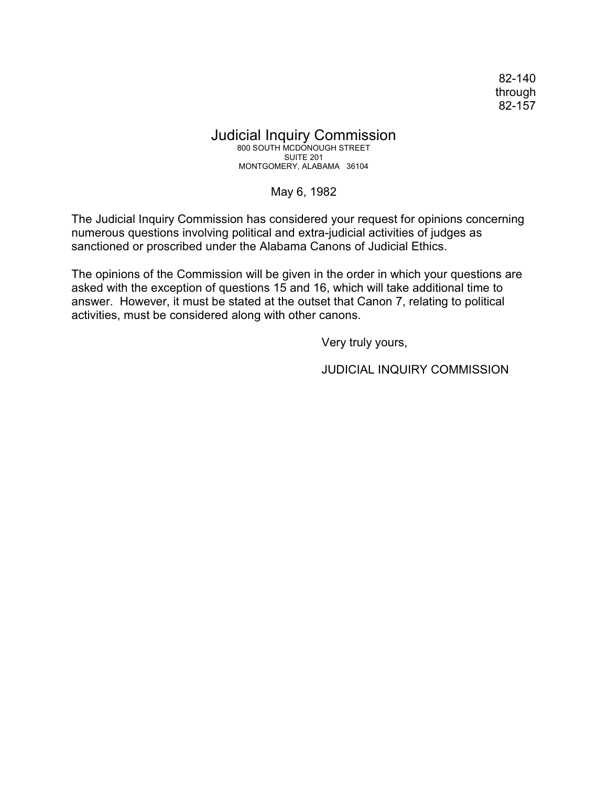82-140 through 82-157

## Judicial Inquiry Commission

800 SOUTH MCDONOUGH STREET SUITE 201 MONTGOMERY, ALABAMA 36104

May 6, 1982

The Judicial Inquiry Commission has considered your request for opinions concerning numerous questions involving political and extra-judicial activities of judges as sanctioned or proscribed under the Alabama Canons of Judicial Ethics.

The opinions of the Commission will be given in the order in which your questions are asked with the exception of questions 15 and 16, which will take additional time to answer. However, it must be stated at the outset that Canon 7, relating to political activities, must be considered along with other canons.

Very truly yours,

JUDICIAL INQUIRY COMMISSION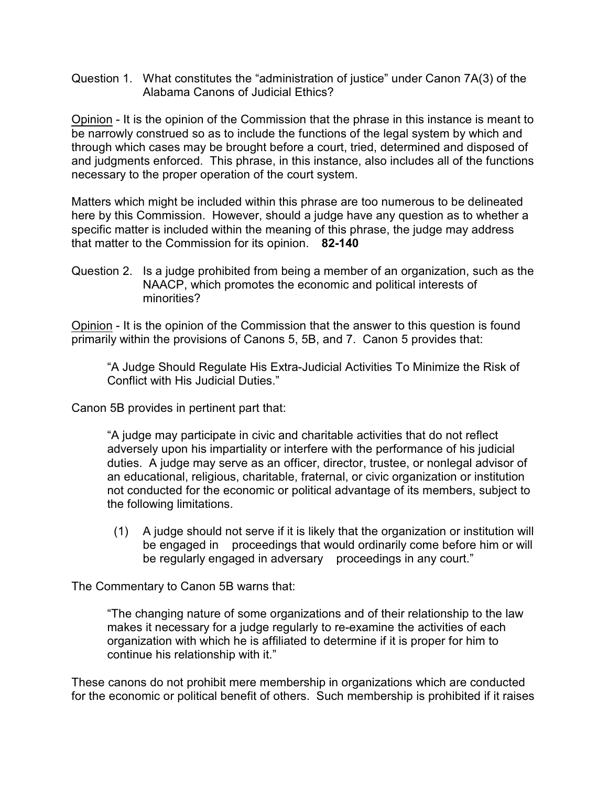Question 1. What constitutes the "administration of justice" under Canon 7A(3) of the Alabama Canons of Judicial Ethics?

Opinion - It is the opinion of the Commission that the phrase in this instance is meant to be narrowly construed so as to include the functions of the legal system by which and through which cases may be brought before a court, tried, determined and disposed of and judgments enforced. This phrase, in this instance, also includes all of the functions necessary to the proper operation of the court system.

Matters which might be included within this phrase are too numerous to be delineated here by this Commission. However, should a judge have any question as to whether a specific matter is included within the meaning of this phrase, the judge may address that matter to the Commission for its opinion. **82-140**

Question 2. Is a judge prohibited from being a member of an organization, such as the NAACP, which promotes the economic and political interests of minorities?

Opinion - It is the opinion of the Commission that the answer to this question is found primarily within the provisions of Canons 5, 5B, and 7. Canon 5 provides that:

"A Judge Should Regulate His Extra-Judicial Activities To Minimize the Risk of Conflict with His Judicial Duties."

Canon 5B provides in pertinent part that:

"A judge may participate in civic and charitable activities that do not reflect adversely upon his impartiality or interfere with the performance of his judicial duties. A judge may serve as an officer, director, trustee, or nonlegal advisor of an educational, religious, charitable, fraternal, or civic organization or institution not conducted for the economic or political advantage of its members, subject to the following limitations.

 (1) A judge should not serve if it is likely that the organization or institution will be engaged in proceedings that would ordinarily come before him or will be regularly engaged in adversary proceedings in any court."

The Commentary to Canon 5B warns that:

"The changing nature of some organizations and of their relationship to the law makes it necessary for a judge regularly to re-examine the activities of each organization with which he is affiliated to determine if it is proper for him to continue his relationship with it."

These canons do not prohibit mere membership in organizations which are conducted for the economic or political benefit of others. Such membership is prohibited if it raises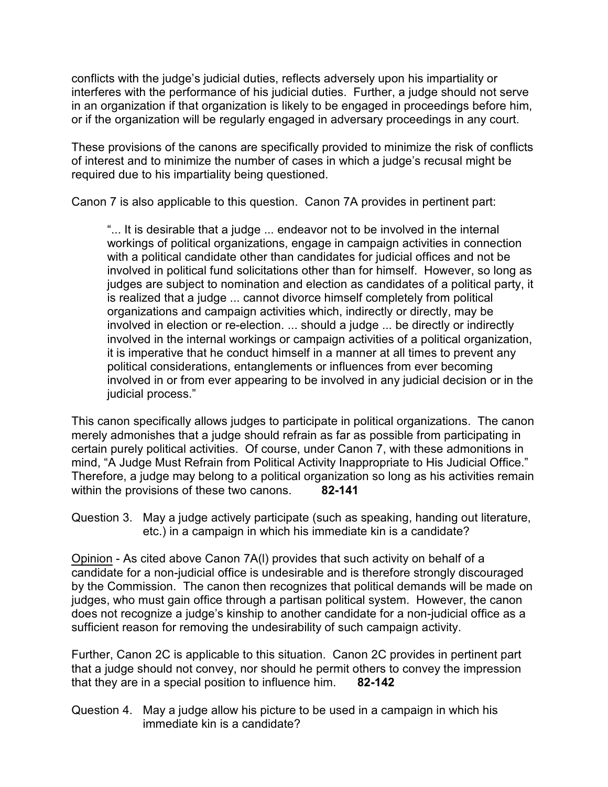conflicts with the judge's judicial duties, reflects adversely upon his impartiality or interferes with the performance of his judicial duties. Further, a judge should not serve in an organization if that organization is likely to be engaged in proceedings before him, or if the organization will be regularly engaged in adversary proceedings in any court.

These provisions of the canons are specifically provided to minimize the risk of conflicts of interest and to minimize the number of cases in which a judge's recusal might be required due to his impartiality being questioned.

Canon 7 is also applicable to this question. Canon 7A provides in pertinent part:

"... It is desirable that a judge ... endeavor not to be involved in the internal workings of political organizations, engage in campaign activities in connection with a political candidate other than candidates for judicial offices and not be involved in political fund solicitations other than for himself. However, so long as judges are subject to nomination and election as candidates of a political party, it is realized that a judge ... cannot divorce himself completely from political organizations and campaign activities which, indirectly or directly, may be involved in election or re-election. ... should a judge ... be directly or indirectly involved in the internal workings or campaign activities of a political organization, it is imperative that he conduct himself in a manner at all times to prevent any political considerations, entanglements or influences from ever becoming involved in or from ever appearing to be involved in any judicial decision or in the judicial process."

This canon specifically allows judges to participate in political organizations. The canon merely admonishes that a judge should refrain as far as possible from participating in certain purely political activities. Of course, under Canon 7, with these admonitions in mind, "A Judge Must Refrain from Political Activity Inappropriate to His Judicial Office." Therefore, a judge may belong to a political organization so long as his activities remain within the provisions of these two canons. **82-141**

Question 3. May a judge actively participate (such as speaking, handing out literature, etc.) in a campaign in which his immediate kin is a candidate?

Opinion - As cited above Canon 7A(l) provides that such activity on behalf of a candidate for a non-judicial office is undesirable and is therefore strongly discouraged by the Commission. The canon then recognizes that political demands will be made on judges, who must gain office through a partisan political system. However, the canon does not recognize a judge's kinship to another candidate for a non-judicial office as a sufficient reason for removing the undesirability of such campaign activity.

Further, Canon 2C is applicable to this situation. Canon 2C provides in pertinent part that a judge should not convey, nor should he permit others to convey the impression that they are in a special position to influence him. **82-142**

Question 4. May a judge allow his picture to be used in a campaign in which his immediate kin is a candidate?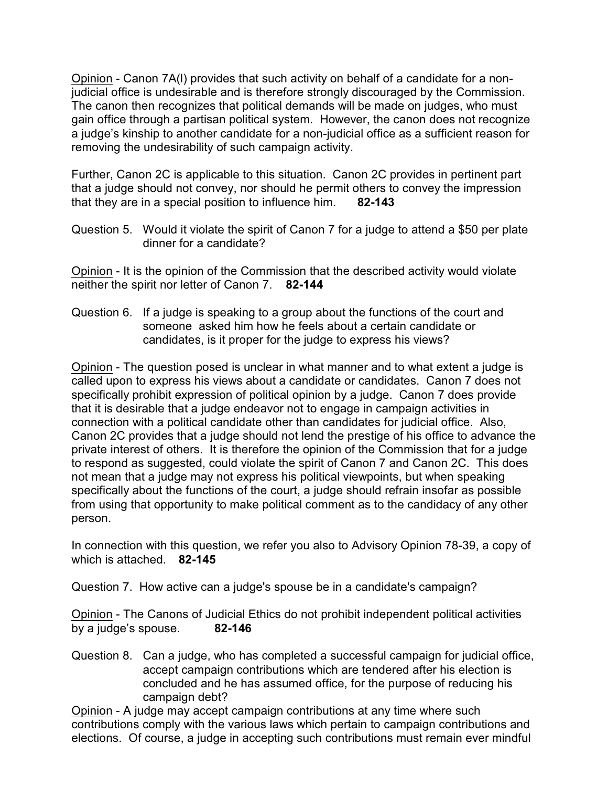Opinion - Canon 7A(l) provides that such activity on behalf of a candidate for a nonjudicial office is undesirable and is therefore strongly discouraged by the Commission. The canon then recognizes that political demands will be made on judges, who must gain office through a partisan political system. However, the canon does not recognize a judge's kinship to another candidate for a non-judicial office as a sufficient reason for removing the undesirability of such campaign activity.

Further, Canon 2C is applicable to this situation. Canon 2C provides in pertinent part that a judge should not convey, nor should he permit others to convey the impression that they are in a special position to influence him. **82-143**

Question 5. Would it violate the spirit of Canon 7 for a judge to attend a \$50 per plate dinner for a candidate?

Opinion - It is the opinion of the Commission that the described activity would violate neither the spirit nor letter of Canon 7. **82-144**

Question 6. If a judge is speaking to a group about the functions of the court and someone asked him how he feels about a certain candidate or candidates, is it proper for the judge to express his views?

Opinion - The question posed is unclear in what manner and to what extent a judge is called upon to express his views about a candidate or candidates. Canon 7 does not specifically prohibit expression of political opinion by a judge. Canon 7 does provide that it is desirable that a judge endeavor not to engage in campaign activities in connection with a political candidate other than candidates for judicial office. Also, Canon 2C provides that a judge should not lend the prestige of his office to advance the private interest of others. It is therefore the opinion of the Commission that for a judge to respond as suggested, could violate the spirit of Canon 7 and Canon 2C. This does not mean that a judge may not express his political viewpoints, but when speaking specifically about the functions of the court, a judge should refrain insofar as possible from using that opportunity to make political comment as to the candidacy of any other person.

In connection with this question, we refer you also to Advisory Opinion 78-39, a copy of which is attached. **82-145**

Question 7. How active can a judge's spouse be in a candidate's campaign?

Opinion - The Canons of Judicial Ethics do not prohibit independent political activities by a judge's spouse. **82-146**

Question 8. Can a judge, who has completed a successful campaign for judicial office, accept campaign contributions which are tendered after his election is concluded and he has assumed office, for the purpose of reducing his campaign debt?

Opinion - A judge may accept campaign contributions at any time where such contributions comply with the various laws which pertain to campaign contributions and elections. Of course, a judge in accepting such contributions must remain ever mindful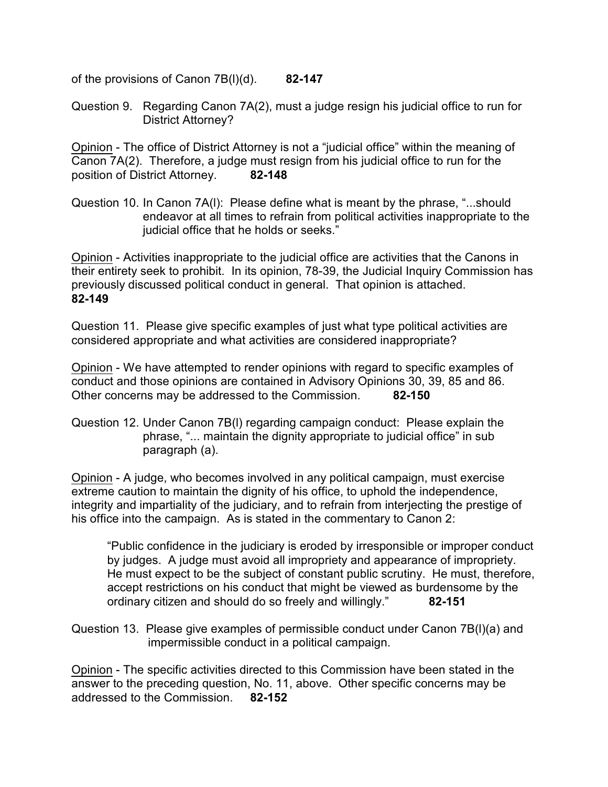of the provisions of Canon 7B(l)(d). **82-147**

Question 9. Regarding Canon 7A(2), must a judge resign his judicial office to run for District Attorney?

Opinion - The office of District Attorney is not a "judicial office" within the meaning of Canon 7A(2). Therefore, a judge must resign from his judicial office to run for the position of District Attorney. **82-148**

Question 10. In Canon 7A(l): Please define what is meant by the phrase, "...should endeavor at all times to refrain from political activities inappropriate to the judicial office that he holds or seeks."

Opinion - Activities inappropriate to the judicial office are activities that the Canons in their entirety seek to prohibit. In its opinion, 78-39, the Judicial Inquiry Commission has previously discussed political conduct in general. That opinion is attached. **82-149**

Question 11. Please give specific examples of just what type political activities are considered appropriate and what activities are considered inappropriate?

Opinion - We have attempted to render opinions with regard to specific examples of conduct and those opinions are contained in Advisory Opinions 30, 39, 85 and 86. Other concerns may be addressed to the Commission. **82-150**

Question 12. Under Canon 7B(l) regarding campaign conduct: Please explain the phrase, "... maintain the dignity appropriate to judicial office" in sub paragraph (a).

Opinion - A judge, who becomes involved in any political campaign, must exercise extreme caution to maintain the dignity of his office, to uphold the independence, integrity and impartiality of the judiciary, and to refrain from interjecting the prestige of his office into the campaign. As is stated in the commentary to Canon 2:

"Public confidence in the judiciary is eroded by irresponsible or improper conduct by judges. A judge must avoid all impropriety and appearance of impropriety. He must expect to be the subject of constant public scrutiny. He must, therefore, accept restrictions on his conduct that might be viewed as burdensome by the ordinary citizen and should do so freely and willingly." **82-151**

Opinion - The specific activities directed to this Commission have been stated in the answer to the preceding question, No. 11, above. Other specific concerns may be addressed to the Commission. **82-152**

Question 13. Please give examples of permissible conduct under Canon 7B(l)(a) and impermissible conduct in a political campaign.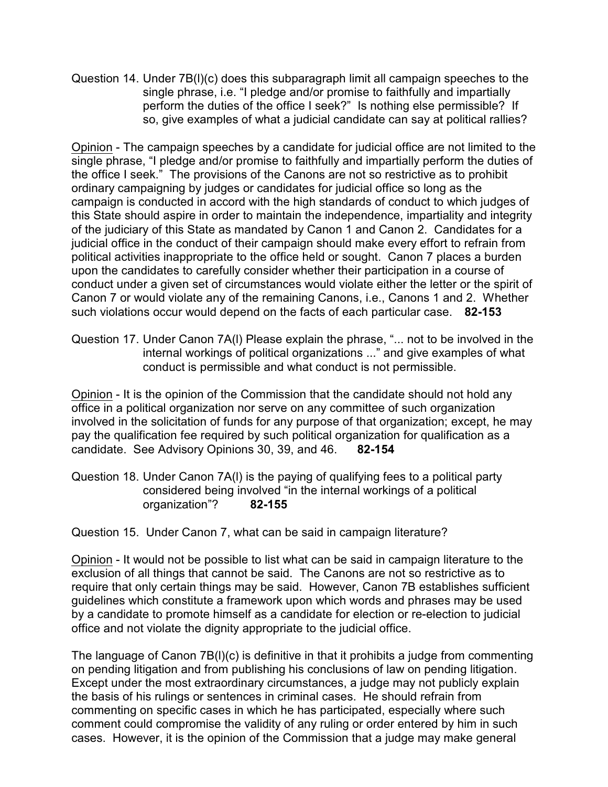Question 14. Under 7B(l)(c) does this subparagraph limit all campaign speeches to the single phrase, i.e. "I pledge and/or promise to faithfully and impartially perform the duties of the office I seek?" Is nothing else permissible? If so, give examples of what a judicial candidate can say at political rallies?

Opinion - The campaign speeches by a candidate for judicial office are not limited to the single phrase, "I pledge and/or promise to faithfully and impartially perform the duties of the office I seek." The provisions of the Canons are not so restrictive as to prohibit ordinary campaigning by judges or candidates for judicial office so long as the campaign is conducted in accord with the high standards of conduct to which judges of this State should aspire in order to maintain the independence, impartiality and integrity of the judiciary of this State as mandated by Canon 1 and Canon 2. Candidates for a judicial office in the conduct of their campaign should make every effort to refrain from political activities inappropriate to the office held or sought. Canon 7 places a burden upon the candidates to carefully consider whether their participation in a course of conduct under a given set of circumstances would violate either the letter or the spirit of Canon 7 or would violate any of the remaining Canons, i.e., Canons 1 and 2. Whether such violations occur would depend on the facts of each particular case. **82-153**

Question 17. Under Canon 7A(l) Please explain the phrase, "... not to be involved in the internal workings of political organizations ..." and give examples of what conduct is permissible and what conduct is not permissible.

Opinion - It is the opinion of the Commission that the candidate should not hold any office in a political organization nor serve on any committee of such organization involved in the solicitation of funds for any purpose of that organization; except, he may pay the qualification fee required by such political organization for qualification as a candidate. See Advisory Opinions 30, 39, and 46. **82-154**

Question 18. Under Canon 7A(l) is the paying of qualifying fees to a political party considered being involved "in the internal workings of a political organization"? **82-155**

## Question 15. Under Canon 7, what can be said in campaign literature?

Opinion - It would not be possible to list what can be said in campaign literature to the exclusion of all things that cannot be said. The Canons are not so restrictive as to require that only certain things may be said. However, Canon 7B establishes sufficient guidelines which constitute a framework upon which words and phrases may be used by a candidate to promote himself as a candidate for election or re-election to judicial office and not violate the dignity appropriate to the judicial office.

The language of Canon 7B(l)(c) is definitive in that it prohibits a judge from commenting on pending litigation and from publishing his conclusions of law on pending litigation. Except under the most extraordinary circumstances, a judge may not publicly explain the basis of his rulings or sentences in criminal cases. He should refrain from commenting on specific cases in which he has participated, especially where such comment could compromise the validity of any ruling or order entered by him in such cases. However, it is the opinion of the Commission that a judge may make general